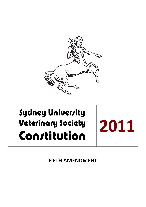

# **Sydney University Veterinary Society** Constitution

**2011**

**FIFTH AMENDMENT**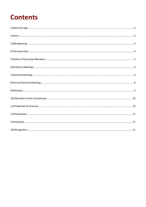## **Contents**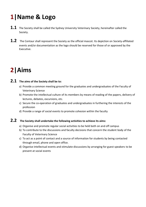# <span id="page-2-0"></span>**1|Name & Logo**

- **1.1** The Society shall be called the Sydney University Veterinary Society, hereinafter called the Society.
- 1.2 The Centaur shall represent the Society as the official mascot. Its depiction on Society-affiliated events and/or documentation as the logo should be reserved for those of or approved by the Executive.

# <span id="page-2-1"></span>**2|Aims**

#### **2.1 The aims of the Society shall be to:**

- a) Provide a common meeting ground for the graduates and undergraduates of the Faculty of Veterinary Science
- b) Promote the intellectual culture of its members by means of reading of the papers, delivery of lectures, debates, excursions, etc.
- c) Secure the co-operation of graduates and undergraduates in furthering the interests of the profession
- d) Provide a range of social events to promote cohesion within the faculty

#### **2.2 The Society shall undertake the following activities to achieve its aims:**

- a) Organise and promote regular social activities to be held both on and off campus
- b) To contribute to the discussions and faculty decisions that concern the student body of the Faculty of Veterinary Science
- c) To act as a point of contact and a source of information for students by being contacted through email, phone and open office.
- d) Organise intellectual events and stimulate discussions by arranging for guest speakers to be present at social events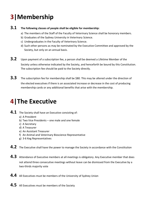# <span id="page-3-0"></span>**3|Membership**

#### **3.1 The following classes of people shall be eligible for membership:**

- a) The members of the Staff of the Faculty of Veterinary Science shall be honorary members.
- b) Graduates of the Sydney University in Veterinary Science.
- c) Undergraduates in the Faculty of Veterinary Science.
- d) Such other persons as may be nominated by the Executive Committee and approved by the Society, but only on an annual basis.
- **3.2** Upon payment of a subscription fee, a person shall be deemed a Lifetime Member of the Society unless otherwise indicated by the Society, and henceforth be bound by this Constitution. The subscription fee should be paid to the Society directly.
- **3.3** The subscription fee for membership shall be \$80. This may be altered under the direction of the elected executives if there is an associated increase or decrease in the cost of producing membership cards or any additional benefits that arise with the membership.

# <span id="page-3-1"></span>**4|The Executive**

- **4.1** The Society shall have an Executive consisting of:
	- a) A President
	- b) Two Vice Presidents one male and one female
	- c) A Secretary
	- d) A Treasurer
	- e) An Assistant Treasurer
	- f) An Animal and Veterinary Bioscience Representative
	- g) 3-6 Keg Representatives
- **4.2** The Executive shall have the power to manage the Society in accordance with the Constitution
- **4.3** Attendance of Executive members at all meetings is obligatory. Any Executive member that does not attend three consecutive meetings without leave can be dismissed from the Executive by a two-thirds majority vote
- **4.4** All Executives must be members of the University of Sydney Union
- **4.5** All Executives must be members of the Society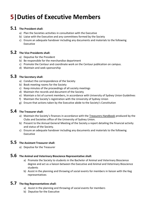## <span id="page-4-0"></span>**5|Duties of Executive Members**

#### **5.1 The President shall:**

- a) Plan the Societies activities in consultation with the Executive
- b) Liaise with the Executive and any committees formed by the Society
- c) Ensure an adequate handover including any documents and materials to the following Executive

#### **5.2 The Vice Presidents shall:**

- a) Deputise for the President
- b) Be responsible for the merchandise department
- c) Promote the Centaur and coordinate work on the Centaur publication on campus.
- d) Maintain and seek sponsorship

#### **5.3 The Secretary shall:**

- a) Conduct the correspondence of the Society
- b) Book meeting rooms for the Society
- c) Keep minutes of the proceedings of all society meetings
- d) Maintain the records and document of the Society
- e) Maintain a list of current members, in accordance with University of Sydney Union Guidelines
- f) Maintain the Society's registration with the University of Sydney Union
- g) Ensure that actions taken by the Executive abide to the Society's Constitution

#### **5.4 The Treasurer shall:**

- a) Maintain the Society's finances in accordance with the Treasurers Handbook produced by the Clubs and Societies office of the University of Sydney Union.
- b) Present to the Annual General Meeting of the Society a report detailing the financial activity and status of the Society.
- c) Ensure an adequate handover including any documents and materials to the following Executive

#### **5.5 The Assistant Treasurer shall:**

a) Deputise for the Treasurer

#### **5.6 The Animal and Veterinary Bioscience Representative shall:**

- a) Promote the Society to students in the Bachelor of Animal and Veterinary Bioscience degree and act as a liaison between the Executive and Animal and Veterinary Bioscience students
- b) Assist in the planning and throwing of social events for members in liaison with the Keg representatives

#### **5.7 The Keg Representatives shall:**

- a) Assist in the planning and throwing of social events for members
- b) Deputise for the Executive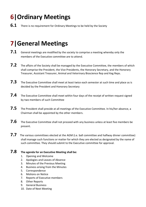# <span id="page-5-0"></span>**6|Ordinary Meetings**

**6.1** There is no requirement for Ordinary Meetings to be held by the Society

### <span id="page-5-1"></span>**7|General Meetings**

- **7.1** General meetings are modified by the society to comprise a meeting whereby only the members of the Executive committee are to attend.
- 7.2 The affairs of the Society shall be managed by the Executive Committee, the members of which shall comprise the President, the Vice Presidents, the Honorary Secretary, and the Honorary Treasurer, Assistant Treasurer, Animal and Veterinary Bioscience Rep and Keg Reps.
- **7.3** The Executive Committee shall meet at least twice each semester at such time and place as is decided by the President and Honorary Secretary
- 7.4 The Executive Committee shall meet within four days of the receipt of written request signed by two members of such Committee
- 7.5 The President shall preside at all meetings of the Executive Committee. In his/her absence, a Chairman shall be appointed by the other members.
- 7.6 The Executive Committee shall not proceed with any business unless at least five members be present.
- **7.7** The various committees elected at the AGM (i.e. ball committee and halfway dinner committee) shall manage such functions or matter for which they are elected as designated by the name of such committee. They should submit to the Executive committee for approval.

#### **7.8 The agenda for an Executive Meeting shall be:**

- 1. Opening and Welcome
- 2. Apologies and Leaves of Absence
- 3. Minutes of the Previous Meeting
- 4. Business arising from the Minutes
- 5. Correspondence
- 6. Motions on Notice
- 7. Reports of Executive members
- 8. Other Reports
- 9. General Business
- 10. Date of Next Meeting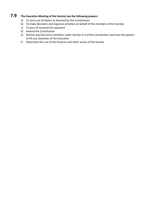#### **7.9 The Executive Meeting of the Society has the following powers:**

- a) To carry out all duties as directed by this Constitution
- b) To make decisions and organise activities on behalf of the members of the Society
- c) To pass all accounts for payment
- d) Amend the Constitution
- e) Dismiss any Executive members under Section 4.3 of the Constitution and have the powers to fill any vacancies of the Executive
- f) Determine the use of the finances and other assets of the Society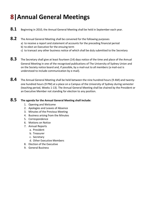# <span id="page-7-0"></span>**8|Annual General Meetings**

- 8.1 Beginning in 2010, the Annual General Meeting shall be held in September each year.
- **8.2** The Annual General Meeting shall be convened for the following purposes
	- a) to receive a report and statement of accounts for the preceding financial period
	- b) to elect an Executive for the ensuing term
	- c) to transact any other business notice of which shall be duly submitted to the Secretary
- 8.3 The Secretary shall give at least fourteen (14) days notice of the time and place of the Annual General Meeting in one of the recognised publications of The University of Sydney Union and on the Society notice board and, if possible, by a mail-out to all members (a mail-out is understood to include communication by e-mail).
- **8.4** The Annual General Meeting shall be held between the nine hundred hours (9 AM) and twentyone hundred hours (9 PM) at a place on a Campus of the University of Sydney during semester (teaching period, Weeks 1-13). The Annual General Meeting shall be chaired by the President or an Executive Member not standing for election to any position.

#### **8.5 The agenda for the Annual General Meeting shall include:**

- 1. Opening and Welcome
- 2. Apologies and Leaves of Absence
- 3. Minutes of the Previous Meeting
- 4. Business arising from the Minutes
- 5. Correspondence
- 6. Motions on Notice
- 7. Annual Reports
	- a. President
	- b. Treasurer
	- c. Secretary
	- d. Other Executive Members
- 8. Election of the Executive
- 9. General Business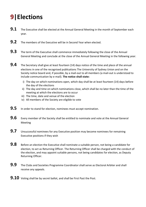# <span id="page-8-0"></span>**9|Elections**

- **9.1** The Executive shall be elected at the Annual General Meeting in the month of September each year.
- **9.2** The members of the Executive will be in Second Year when elected.
- **9.3** The term of the Executive shall commence immediately following the close of the Annual General Meeting and conclude at the close of the Annual General Meeting in the following year.
- **9.4** The Secretary shall give at least fourteen (14) days notice of the time and place of the annual elections in one of the recognised publications The University of Sydney Union and on the Society notice board and, if possible, by a mail-out to all members (a mail-out is understood to include communication by e-mail). **The notice shall state:**
	- i) The day on which nominations open, which day shall be at least fourteen (14) days before the day of the elections
	- ii) The day and time on which nominations close, which shall be no later than the time of the meeting at which the elections are to occur
	- iii) The time, date and venue of the election
	- iv) All members of the Society are eligible to vote
- **9.5** In order to stand for election, nominees must accept nomination.
- **9.6** Every member of the Society shall be entitled to nominate and vote at the Annual General Meeting
- **9.7** Unsuccessful nominees for any Executive position may become nominees for remaining Executive positions if they wish
- **9.8** Before an election the Executive shall nominate a suitable person, not being a candidate for election, to act as Returning Officer. The Returning Officer shall be charged with the conduct of the election, and may appoint suitable persons, not being candidates for election, as Deputy Returning Officer.
- **9.9** The Clubs and Societies Programme Coordinator shall serve as Electoral Arbiter and shall receive any appeals.
- **9.10** Voting shall be by secret ballot, and shall be First Past the Post.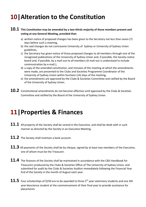### <span id="page-9-0"></span>**10|Alteration to the Constitution**

#### **10.1 This Constitution may be amended by a two-thirds majority of those members present and voting at any General Meeting, provided that:**

- a) written notice of proposed changes has been given to the Secretary not less than seven (7) days before such a meeting,
- b) the said changes do not contravene University of Sydney or University of Sydney Union guidelines,
- c) the Secretary has given notice of those proposed changes to all members through one of the recognized publications of the University of Sydney Union and, if possible, the Society notice board and, if possible, by a mail-out to all members (A mail-out is understood to include communication by e-mail.),
- d) a copy of the amended constitution, and minutes of the meeting at which the amendments were made, are presented to the Clubs and Societies Programme Coordinator of the University of Sydney Union within fourteen (14) days of the meeting,
- e) the amendments are approved by the Clubs & Societies Committee and ratified by the Board of the University of Sydney Union.
- 10.2 Constitutional amendments do not become effective until approved by the Clubs & Societies Committee and ratified by the Board of the University of Sydney Union.

### <span id="page-9-1"></span>**11|Properties & Finances**

- 11.1 All property of the Society shall be vested in the Executive, and shall be dealt with in such manner as directed by the Society in an Executive Meeting.
- **11.2** The Society shall maintain a bank account.
- **11.3** All payments of the Society shall be by cheque, signed by at least two members of the Executive, one of whom must be the Treasurer.
- **11.4** The finances of the Society shall be maintained in accordance with the C&S Handbook for Treasurers produced by the Clubs & Societies Office of The University of Sydney Union, and submitted for audit by the Clubs & Societies Auditor immediately following the Financial Year End of the Society in the month of August each year.
- **Four scholarships of \$250 are to be awarded to three 5<sup>th</sup> year veterinary students and one 4th** year bioscience student at the commencement of their final year to provide assistance for placements.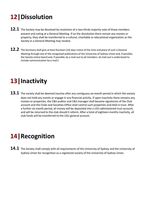# <span id="page-10-0"></span>**12|Dissolution**

- **12.1** The Society may be dissolved by resolution of a two-thirds majority vote of those members present and voting at a General Meeting. If on the dissolution there remain any monies or property, they shall be transferred to a cultural, charitable or educational organization as the Society in a General Meeting may resolve.
- **12.2** The Secretary shall give at least fourteen (14) days notice of the time and place of such a General Meeting through one of the recognized publications of the University of Sydney Union and, if possible, the Society notice board and, if possible, by a mail-out to all members. (A mail-out is understood to include communication by e-mail.)

### <span id="page-10-1"></span>**13|Inactivity**

13.1 The society shall be deemed inactive after any contiguous six month period in which the society does not hold any events or engage in any financial activity. If upon inactivity there remains any monies or properties, the C&S auditor and C&S manager shall become signatories of the Club account and the Clubs and Societies Office shall control such properties and held in trust. After a further six month period, all money will be deposited into a USU administered trust account, and will be returned to the club should it reform. After a total of eighteen months inactivity, all club funds will be transferred to the USU general account.

### <span id="page-10-2"></span>**14|Recognition**

**14.1** The Society shall comply with all requirements of the University of Sydney and the University of Sydney Union for recognition as a registered society of the University of Sydney Union.